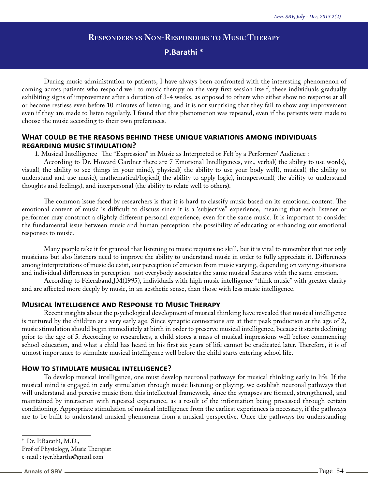# **Responders vs Non-Responders to Music Therapy**

## **P.Barathi \***

During music administration to patients, I have always been confronted with the interesting phenomenon of coming across patients who respond well to music therapy on the very first session itself, these individuals gradually exhibiting signs of improvement after a duration of 3-4 weeks, as opposed to others who either show no response at all or become restless even before 10 minutes of listening, and it is not surprising that they fail to show any improvement even if they are made to listen regularly. I found that this phenomenon was repeated, even if the patients were made to choose the music according to their own preferences.

## **What could be the reasons behind these unique variations among individuals regarding music stimulation?**

1. Musical Intelligence- The "Expression" in Music as Interpreted or Felt by a Performer/ Audience :

According to Dr. Howard Gardner there are 7 Emotional Intelligences, viz., verbal( the ability to use words), visual( the ability to see things in your mind), physical( the ability to use your body well), musical( the ability to understand and use music), mathematical/logical( the ability to apply logic), intrapersonal( the ability to understand thoughts and feelings), and interpersonal (the ability to relate well to others).

The common issue faced by researchers is that it is hard to classify music based on its emotional content. The emotional content of music is difficult to discuss since it is a 'subjective" experience, meaning that each listener or performer may construct a slightly different personal experience, even for the same music. It is important to consider the fundamental issue between music and human perception: the possibility of educating or enhancing our emotional responses to music.

Many people take it for granted that listening to music requires no skill, but it is vital to remember that not only musicians but also listeners need to improve the ability to understand music in order to fully appreciate it. Differences among interpretations of music do exist, our perception of emotion from music varying, depending on varying situations and individual differences in perception- not everybody associates the same musical features with the same emotion.

According to Feieraband,JM(1995), individuals with high music intelligence "think music" with greater clarity and are affected more deeply by music, in an aesthetic sense, than those with less music intelligence.

## **Musical Intelligence and Response to Music Therapy**

Recent insights about the psychological development of musical thinking have revealed that musical intelligence is nurtured by the children at a very early age. Since synaptic connections are at their peak production at the age of 2, music stimulation should begin immediately at birth in order to preserve musical intelligence, because it starts declining prior to the age of 5. According to researchers, a child stores a mass of musical impressions well before commencing school education, and what a child has heard in his first six years of life cannot be eradicated later. Therefore, it is of utmost importance to stimulate musical intelligence well before the child starts entering school life.

## **How to stimulate musical intelligence?**

To develop musical intelligence, one must develop neuronal pathways for musical thinking early in life. If the musical mind is engaged in early stimulation through music listening or playing, we establish neuronal pathways that will understand and perceive music from this intellectual framework, since the synapses are formed, strengthened, and maintained by interaction with repeated experience, as a result of the information being processed through certain conditioning. Appropriate stimulation of musical intelligence from the earliest experiences is necessary, if the pathways are to be built to understand musical phenomena from a musical perspective. Once the pathways for understanding

<sup>\*</sup> Dr. P.Barathi, M.D.,

Prof of Physiology, Music Therapist e-mail : iyer.bharthi@gmail.com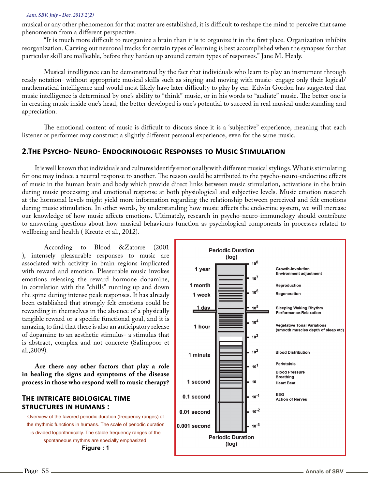#### *Ann. SBV, July - Dec, 2013 2(2)*

musical or any other phenomenon for that matter are established, it is difficult to reshape the mind to perceive that same phenomenon from a different perspective.

"It is much more difficult to reorganize a brain than it is to organize it in the first place. Organization inhibits reorganization. Carving out neuronal tracks for certain types of learning is best accomplished when the synapses for that particular skill are malleable, before they harden up around certain types of responses." Jane M. Healy.

Musical intelligence can be demonstrated by the fact that individuals who learn to play an instrument through ready notation- without appropriate musical skills such as singing and moving with music- engage only their logical/ mathematical intelligence and would most likely have later difficulty to play by ear. Edwin Gordon has suggested that music intelligence is determined by one's ability to "think" music, or in his words to "audiate" music. The better one is in creating music inside one's head, the better developed is one's potential to succeed in real musical understanding and appreciation.

The emotional content of music is difficult to discuss since it is a 'subjective" experience, meaning that each listener or performer may construct a slightly different personal experience, even for the same music.

## **2.The Psycho- Neuro- Endocrinologic Responses to Music Stimulation**

It is well known that individuals and cultures identify emotionally with different musical stylings. What is stimulating for one may induce a neutral response to another. The reason could be attributed to the psycho-neuro-endocrine effects of music in the human brain and body which provide direct links between music stimulation, activations in the brain during music processing and emotional response at both physiological and subjective levels. Music emotion research at the hormonal levels might yield more information regarding the relationship between perceived and felt emotions during music stimulation. In other words, by understanding how music affects the endocrine system, we will increase our knowledge of how music affects emotions. Ultimately, research in psycho-neuro-immunology should contribute to answering questions about how musical behaviours function as psychological components in processes related to wellbeing and health ( Kreutz et al., 2012).

According to Blood &Zatorre (2001 ), intensely pleasurable responses to music are associated with activity in brain regions implicated with reward and emotion. Pleasurable music invokes emotions releasing the reward hormone dopamine, in correlation with the "chills" running up and down the spine during intense peak responses. It has already been established that strongly felt emotions could be rewarding in themselves in the absence of a physically tangible reward or a specific functional goal, and it is amazing to find that there is also an anticipatory release of dopamine to an aesthetic stimulus- a stimulus that is abstract, complex and not concrete (Salimpoor et al.,2009).

**Are there any other factors that play a role in healing the signs and symptoms of the disease process in those who respond well to music therapy?**

## **The intricate biological time structures in humans :**

Overview of the favored periodic duration (frequency ranges) of the rhythmic functions in humans. The scale of periodic duration is divided logarithmically. The stable frequency ranges of the spontaneous rhythms are specially emphasized. **Figure : 1**